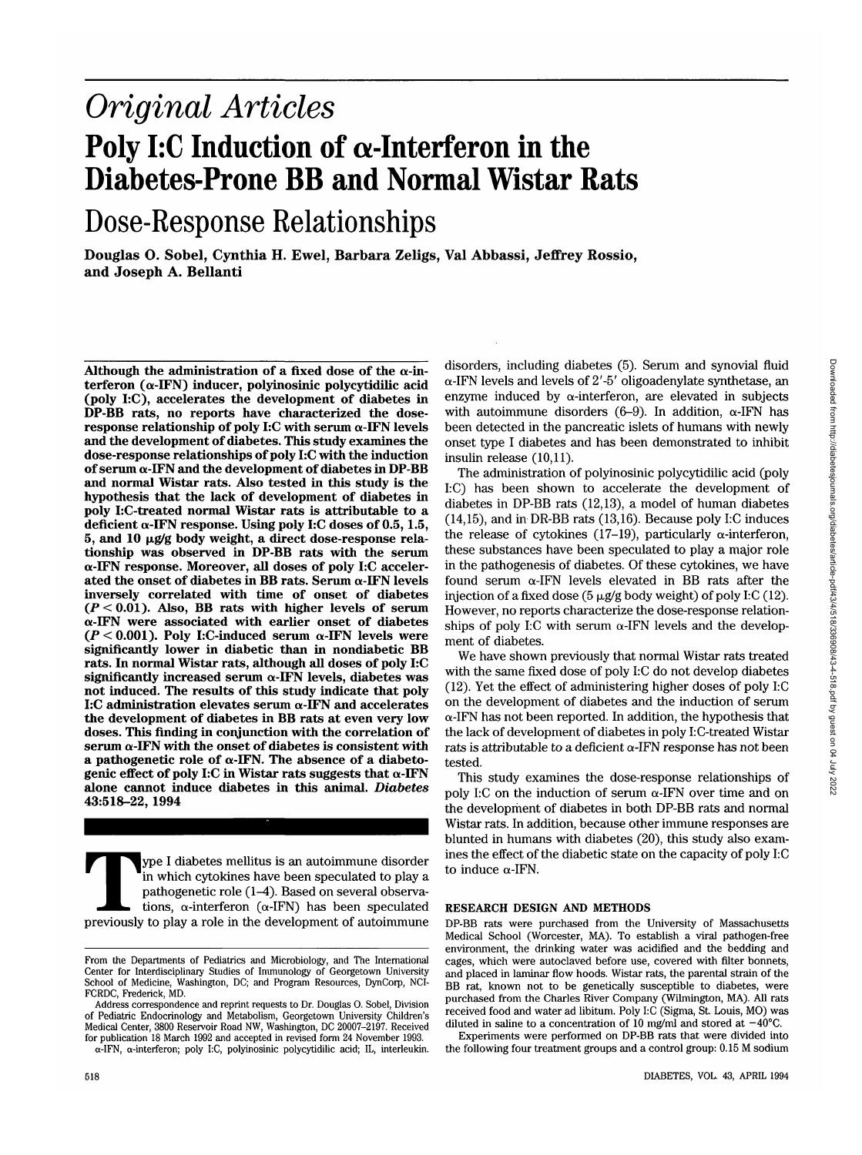# *Original Articles* Poly I:C Induction of  $\alpha$ -Interferon in the **Diabetes-Prone BB and Normal Wistar Rats**

# Dose-Response Relationships

**Douglas O. Sobel, Cynthia H. Ewel, Barbara Zeligs, Val Abbassi, Jeffrey Rossio, and Joseph A. Bellanti**

Although the administration of a fixed dose of the  $\alpha$ -in-<br>terferon ( $\alpha$ -IFN) inducer, polyinosinic polycytidilic acid **(poly I:C), accelerates the development of diabetes in DP-BB rats, no reports have characterized the dose- response relationship of poly I:C with serum a-IFN levels and the development of diabetes. This study examines the dose-response relationships of poly I:C with the induction of serum a-IFN and the development of diabetes in DP-BB and normal Wistar rats. Also tested in this study is the hypothesis that the lack of development of diabetes in poly I:C-treated normal Wistar rats is attributable to a deficient a-IFN response. Using poly I:C doses of 0.5,1.5, 5, and 10 |xg/g body weight, a direct dose-response rela- tionship was observed in DP-BB rats with the serum a-IFN response. Moreover, all doses of poly I:C acceler- ated the onset of diabetes in BB rats. Serum a-IFN levels inversely correlated with time of onset of diabetes (P < 0.01). Also, BB rats with higher levels of serum a-IFN were associated with earlier onset of diabetes** ( $P < 0.001$ ). Poly I:C-induced serum  $\alpha$ -IFN levels were **significantly lower in diabetic than in nondiabetic BB rats. In normal Wistar rats, although all doses of poly I:C significantly increased serum a-IFN levels, diabetes was not induced. The results of this study indicate that poly I:C administration elevates serum a-IFN and accelerates the development of diabetes in BB rats at even very low doses. This finding in conjunction with the correlation of serum a-IFN with the onset of diabetes is consistent with a pathogenetic role of**  $\alpha$ **-IFN. The absence of a diabeto- genic effect of poly I:C in Wistar rats suggests that**  $\alpha$ **-IFN alone cannot induce diabetes in this animal.** *Diabetes* **43:518-22, 1994**

**Type I diabetes mellitus is an autoimmune disorder**<br>in which cytokines have been speculated to play a<br>pathogenetic role (1–4). Based on several observa-<br>tions,  $\alpha$ -interferon ( $\alpha$ -IFN) has been speculated<br>previously to in which cytokines have been speculated to play a pathogenetic role (1-4). Based on several observations,  $\alpha$ -interferon ( $\alpha$ -IFN) has been speculated

Address correspondence and reprint requests to Dr. Douglas 0. Sobel, Division of Pediatric Endocrinology and Metabolism, Georgetown University Children's Medical Center, 3800 Reservoir Road NW, Washington, DC 20007-2197. Received for publication 18 March 1992 and accepted in revised form 24 November 1993.

disorders, including diabetes (5). Serum and synovial fluid  $\alpha$ -IFN levels and levels of 2'-5' oligoadenylate synthetase, an enzyme induced by  $\alpha$ -interferon, are elevated in subjects with autoimmune disorders  $(6-9)$ . In addition,  $\alpha$ -IFN has been detected in the pancreatic islets of humans with newly onset type I diabetes and has been demonstrated to inhibit insulin release (10,11).

The administration of polyinosinic polycytidilic acid (poly I:C) has been shown to accelerate the development of diabetes in DP-BB rats (12,13), a model of human diabetes (14,15), and in DR-BB rats (13,16). Because poly I:C induces the release of cytokines (17-19), particularly  $\alpha$ -interferon, these substances have been speculated to play a major role in the pathogenesis of diabetes. Of these cytokines, we have found serum  $\alpha$ -IFN levels elevated in BB rats after the injection of a fixed dose ( $5 \mu g/g$  body weight) of poly I:C (12). However, no reports characterize the dose-response relationships of poly I:C with serum  $\alpha$ -IFN levels and the development of diabetes.

We have shown previously that normal Wistar rats treated with the same fixed dose of poly I:C do not develop diabetes (12). Yet the effect of administering higher doses of poly I:C on the development of diabetes and the induction of serum a-IFN has not been reported. In addition, the hypothesis that the lack of development of diabetes in poly I:C-treated Wistar rats is attributable to a deficient  $\alpha$ -IFN response has not been tested.

This study examines the dose-response relationships of poly I:C on the induction of serum  $\alpha$ -IFN over time and on the development of diabetes in both DP-BB rats and normal Wistar rats. In addition, because other immune responses are blunted in humans with diabetes (20), this study also examines the effect of the diabetic state on the capacity of poly I:C to induce  $\alpha$ -IFN.

# **RESEARCH DESIGN AND METHODS**

DP-BB rats were purchased from the University of Massachusetts Medical School (Worcester, MA). To establish a viral pathogen-free environment, the drinking water was acidified and the bedding and cages, which were autoclaved before use, covered with filter bonnets, and placed in laminar flow hoods. Wistar rats, the parental strain of the BB rat, known not to be genetically susceptible to diabetes, were purchased from the Charles River Company (Wilmington, MA). All rats received food and water ad libitum. Poly I:C (Sigma, St. Louis, MO) was diluted in saline to a concentration of 10 mg/ml and stored at  $-40^{\circ}$ C.

Experiments were performed on DP-BB rats that were divided into the following four treatment groups and a control group: 0.15 M sodium

From the Departments of Pediatrics and Microbiology, and The International Center for Interdisciplinary Studies of Immunology of Georgetown University School of Medicine, Washington, DC; and Program Resources, DynCorp, NCI-FCRDC, Frederick, MD.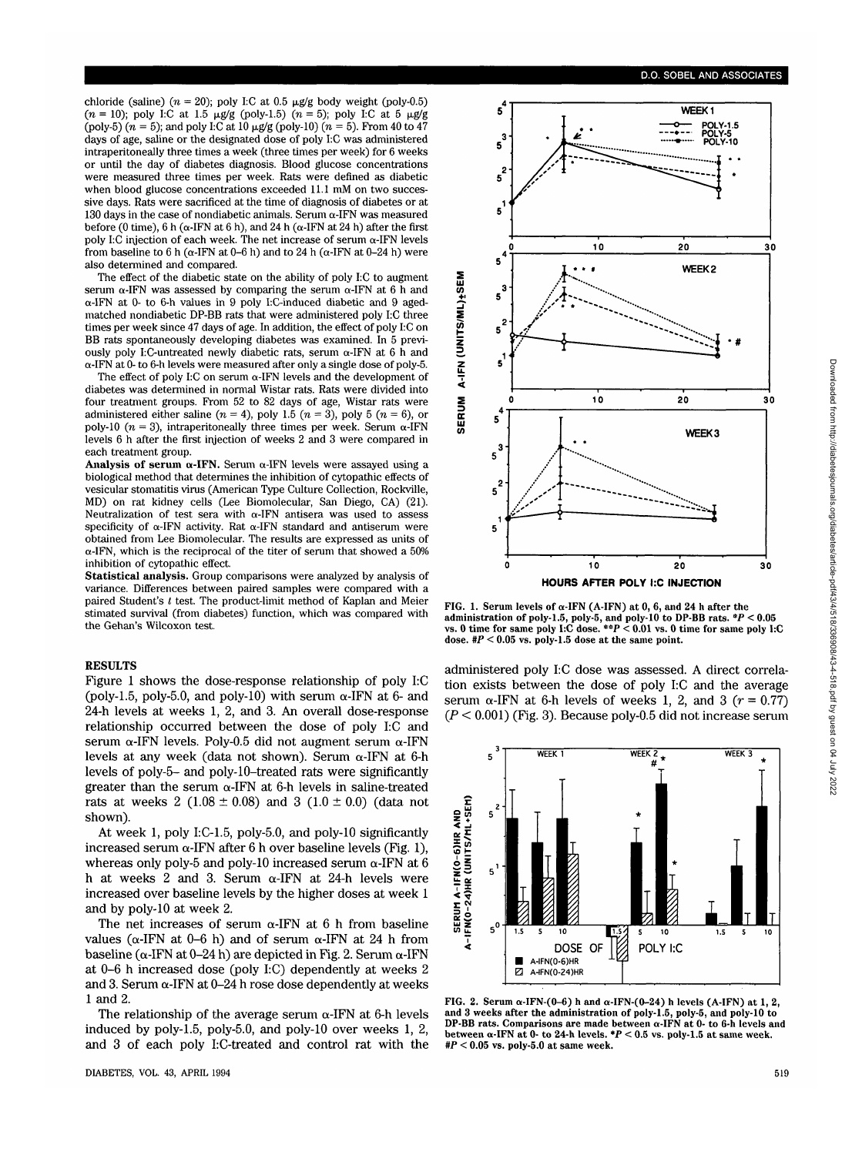chloride (saline) ( $n = 20$ ); poly I:C at 0.5  $\mu$ g/g body weight (poly-0.5)  $(n = 10)$ ; poly I:C at 1.5  $\mu$ g/g (poly-1.5)  $(n = 5)$ ; poly I:C at 5  $\mu$ g/g  $\int (poly-5) (n = 5)$ ; and poly I:C at 10  $\mu g/g$  (poly-10)  $(n = 5)$ . From 40 to 47 days of age, saline or the designated dose of poly I:C was administered intraperitoneally three times a week (three times per week) for 6 weeks or until the day of diabetes diagnosis. Blood glucose concentrations were measured three times per week. Rats were defined as diabetic when blood glucose concentrations exceeded 11.1 mM on two successive days. Rats were sacrificed at the time of diagnosis of diabetes or at 130 days in the case of nondiabetic animals. Serum  $\alpha$ -IFN was measured before (0 time), 6 h ( $\alpha$ -IFN at 6 h), and 24 h ( $\alpha$ -IFN at 24 h) after the first poly I:C injection of each week. The net increase of serum  $\alpha$ -IFN levels from baseline to 6 h ( $\alpha$ -IFN at 0–6 h) and to 24 h ( $\alpha$ -IFN at 0–24 h) were also determined and compared.

The effect of the diabetic state on the ability of poly I:C to augment serum  $\alpha$ -IFN was assessed by comparing the serum  $\alpha$ -IFN at 6 h and a-IFN at 0- to 6-h values in 9 poly I:C-induced diabetic and 9 agedmatched nondiabetic DP-BB rats that were administered poly I:C three times per week since 47 days of age. In addition, the effect of poly I:C on BB rats spontaneously developing diabetes was examined. In 5 previously poly I:C-untreated newly diabetic rats, serum  $\alpha$ -IFN at 6 h and a-IFN at 0- to 6-h levels were measured after only a single dose of poly-5.

The effect of poly I:C on serum  $\alpha$ -IFN levels and the development of diabetes was determined in normal Wistar rats. Rats were divided into four treatment groups. From 52 to 82 days of age, Wistar rats were administered either saline  $(n = 4)$ , poly 1.5  $(n = 3)$ , poly 5  $(n = 6)$ , or poly-10  $(n = 3)$ , intraperitoneally three times per week. Serum  $\alpha$ -IFN levels 6 h after the first injection of weeks 2 and 3 were compared in each treatment group.

**Analysis of serum**  $\alpha$ **-IFN.** Serum  $\alpha$ -IFN levels were assayed using a biological method that determines the inhibition of cytopathic effects of vesicular stomatitis virus (American Type Culture Collection, Rockville, vesitular stormation of the Culture Collection, Collection, San Diego, CA) (21).<br>Neutralization of test sera with  $\alpha$ -IFN antisera was used to assess specificity of  $\alpha$ -IFN activity. Rat  $\alpha$ -IFN standard and antiserum were obtained from Lee Biomolecular. The results are expressed as units of  $\alpha$ -IFN, which is the reciprocal of the titer of serum that showed a 50% inhibition of cytopathic effect.

**Statistical analysis.** Group comparisons were analyzed by analysis of variance. Differences between paired samples were compared with a paired Student's *t* test. The product-limit method of Kaplan and Meier stimated survival (from diabetes) function, which was compared with the Gehan's Wilcoxon test.

## RESULTS

Figure 1 shows the dose-response relationship of poly I:C (poly-1.5, poly-5.0, and poly-10) with serum  $\alpha$ -IFN at 6- and 24-h levels at weeks 1, 2, and 3. An overall dose-response relationship occurred between the dose of poly I:C and serum  $\alpha$ -IFN levels. Poly-0.5 did not augment serum  $\alpha$ -IFN levels at any week (data not shown). Serum  $\alpha$ -IFN at 6-h levels of poly-5- and poly-10-treated rats were significantly greater than the serum  $\alpha$ -IFN at 6-h levels in saline-treated rats at weeks 2 (1.08  $\pm$  0.08) and 3 (1.0  $\pm$  0.0) (data not shown).

At week 1, poly I:C-1.5, poly-5.0, and poly-10 significantly increased serum  $\alpha$ -IFN after 6 h over baseline levels (Fig. 1), whereas only poly-5 and poly-10 increased serum  $\alpha$ -IFN at 6 h at weeks 2 and 3. Serum  $\alpha$ -IFN at 24-h levels were increased over baseline levels by the higher doses at week 1 and by poly-10 at week 2.

The net increases of serum  $\alpha$ -IFN at 6 h from baseline values ( $\alpha$ -IFN at 0-6 h) and of serum  $\alpha$ -IFN at 24 h from baseline ( $\alpha$ -IFN at 0–24 h) are depicted in Fig. 2. Serum  $\alpha$ -IFN at 0-6 h increased dose (poly I:C) dependently at weeks 2 and 3. Serum  $\alpha$ -IFN at 0-24 h rose dose dependently at weeks 1 and 2.

The relationship of the average serum  $\alpha$ -IFN at 6-h levels induced by poly-1.5, poly-5.0, and poly-10 over weeks 1, 2, and 3 of each poly LC-treated and control rat with the





**FIG. 1. Serum levels of a-IFN (A-IFN) at 0, 6, and 24 h after the administration of poly-1.5, poly-5, and poly-10 to DP-BB rats. \*P < 0.05 vs. 0 time for same poly I:C** dose. **\*\*P** < **0.01** vs. **0** time **for** same **poly I:C** dose.  $\#P < 0.05$  vs. poly-1.5 dose at the same point.

administered poly I:C dose was assessed. A direct correlation exists between the dose of poly I:C and the average serum  $\alpha$ -IFN at 6-h levels of weeks 1, 2, and 3 ( $r = 0.77$ ) *(P <* 0.001) (Fig. 3). Because poly-0.5 did not increase serum



FIG. 2. Serum  $\alpha$ -IFN-(0-6) h and  $\alpha$ -IFN-(0-24) h levels (A-IFN) at 1, 2, and 3 weeks after the administration of poly-1.5, poly-5, and poly-10 to DP-BB rats. Comparisons are made between  $\alpha$ -IFN at 0- to 6-h levels a **between**  $\alpha$ **-IFN at 0- to 24-h levels.**  $*P < 0.5$  vs. poly-1.5 at same week.  $*P < 0.05$  vs. poly-5.0 at same week.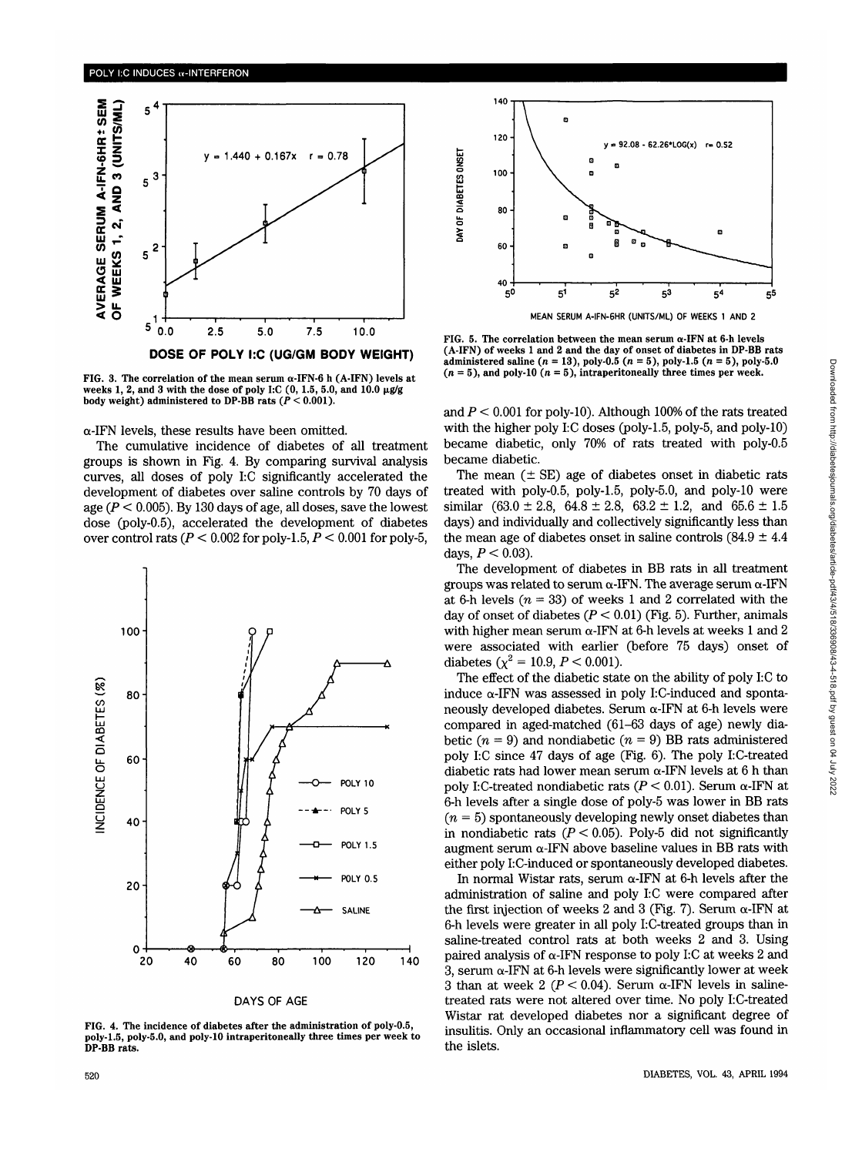

FIG. 3. The correlation of the mean serum  $\alpha$ -IFN-6 h (A-IFN) levels at weeks 1, 2, and 3 with the dose of poly I:C  $(0, 1.5, 5.0, \text{and } 10.0 \mu\text{g/g})$ body weight) administered to **DP-BB** rats *(P <* 0.001).

#### $\alpha$ -IFN levels, these results have been omitted.

The cumulative incidence of diabetes of all treatment groups is shown in Fig. 4. By comparing survival analysis curves, all doses of poly I:C significantly accelerated the development of diabetes over saline controls by 70 days of age (P *<* 0.005). By 130 days of age, all doses, save the lowest dose (poly-0.5), accelerated the development of diabetes over control rats  $(P < 0.002$  for poly-1.5,  $P < 0.001$  for poly-5,



DAYS OF AGE

FIG. 4. The incidence of diabetes after the administration of poly-0.5, poly-1.5, poly-5.0, and poly-10 intraperitoneally three times per week to **DP-BB** rats.



FIG. 5. The correlation between the mean serum  $\alpha$ -IFN at 6-h levels (A-IFN) of weeks 1 and 2 and the day of onset of diabetes in DP-BB rats administered saline ( $n = 13$ ), poly-0.5 ( $n = 5$ ), poly-1.5 ( $n = 5$ ), poly-5.0  $(n = 5)$ , and poly-10  $(n = 5)$ , intraperitoneally three times per week.

and *P <* 0.001 for poly-10). Although 100% of the rats treated with the higher poly I:C doses (poly-1.5, poly-5, and poly-10) became diabetic, only 70% of rats treated with poly-0.5 became diabetic.

The mean  $(\pm \text{ SE})$  age of diabetes onset in diabetic rats treated with poly-0.5, poly-1.5, poly-5.0, and poly-10 were similar  $(63.0 \pm 2.8, 64.8 \pm 2.8, 63.2 \pm 1.2, \text{ and } 65.6 \pm 1.5)$ days) and individually and collectively significantly less than the mean age of diabetes onset in saline controls  $(84.9 \pm 4.4)$ days, *P <* 0.03).

The development of diabetes in BB rats in all treatment groups was related to serum  $\alpha$ -IFN. The average serum  $\alpha$ -IFN at 6-h levels  $(n = 33)$  of weeks 1 and 2 correlated with the day of onset of diabetes (P *<* 0.01) (Fig. 5). Further, animals with higher mean serum  $\alpha$ -IFN at 6-h levels at weeks 1 and 2 were associated with earlier (before 75 days) onset of diabetes  $(\chi^2 = 10.9, P < 0.001)$ .

The effect of the diabetic state on the ability of poly I:C to induce  $\alpha$ -IFN was assessed in poly I:C-induced and spontaneously developed diabetes. Serum  $\alpha$ -IFN at 6-h levels were compared in aged-matched (61-63 days of age) newly diabetic  $(n = 9)$  and nondiabetic  $(n = 9)$  BB rats administered poly I:C since 47 days of age (Fig. 6). The poly I:C-treated diabetic rats had lower mean serum  $\alpha$ -IFN levels at 6 h than poly I:C-treated nondiabetic rats ( $P < 0.01$ ). Serum  $\alpha$ -IFN at 6-h levels after a single dose of poly-5 was lower in BB rats  $(n = 5)$  spontaneously developing newly onset diabetes than in nondiabetic rats ( $P < 0.05$ ). Poly-5 did not significantly augment serum  $\alpha$ -IFN above baseline values in BB rats with either poly I:C-induced or spontaneously developed diabetes.

In normal Wistar rats, serum  $\alpha$ -IFN at 6-h levels after the administration of saline and poly I:C were compared after the first injection of weeks 2 and 3 (Fig. 7). Serum  $\alpha$ -IFN at 6-h levels were greater in all poly LC-treated groups than in saline-treated control rats at both weeks 2 and 3. Using paired analysis of  $\alpha$ -IFN response to poly I:C at weeks 2 and 3, serum  $\alpha$ -IFN at 6-h levels were significantly lower at week 3 than at week 2 ( $P < 0.04$ ). Serum  $\alpha$ -IFN levels in salinetreated rats were not altered over time. No poly I:C-treated Wistar rat developed diabetes nor a significant degree of insulitis. Only an occasional inflammatory cell was found in the islets.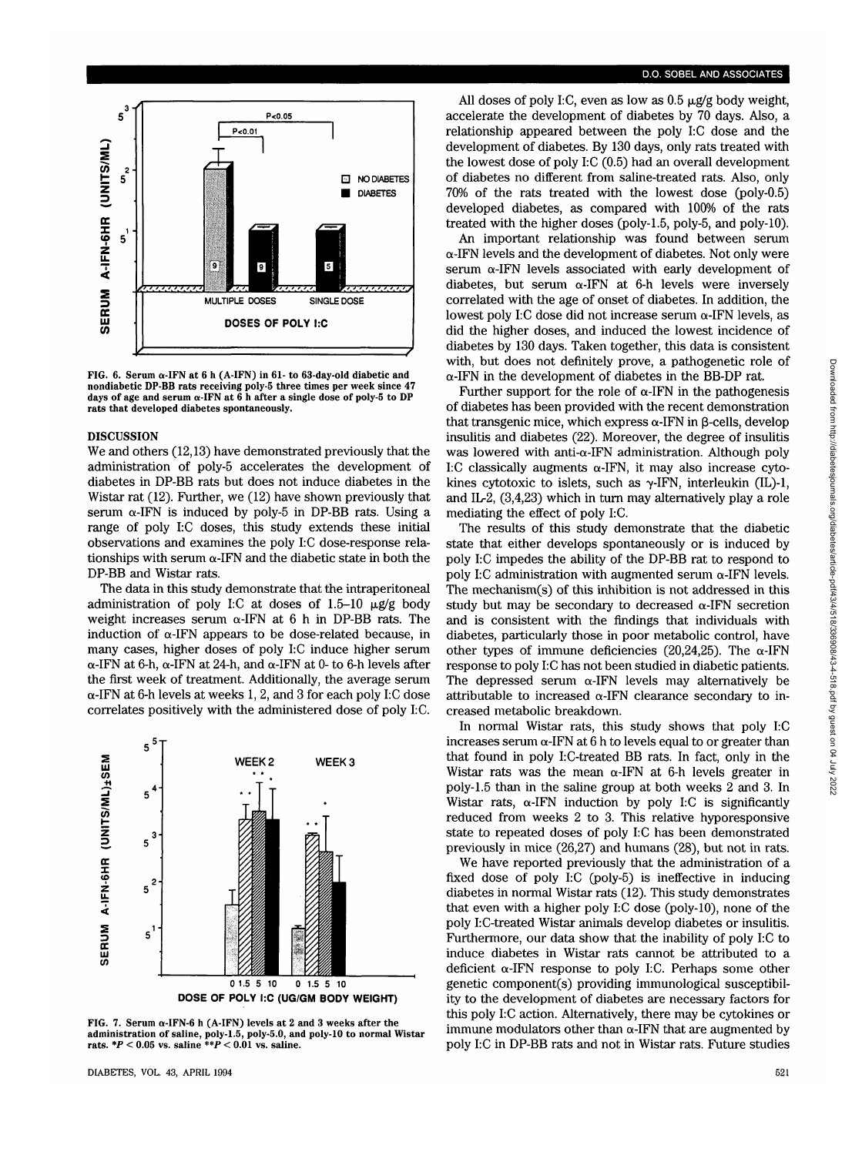

FIG. 6. Serum  $\alpha$ -IFN at 6 h (A-IFN) in 61- to 63-day-old diabetic and nondiabetic **DP-BB** rats receiving poly-5 three times per week since 47 days of age and serum a-IFN at 6 h after a single dose of poly-5 to **DP** rats that developed diabetes spontaneously.

#### DISCUSSION

We and others (12,13) have demonstrated previously that the administration of poly-5 accelerates the development of diabetes in DP-BB rats but does not induce diabetes in the Wistar rat (12). Further, we (12) have shown previously that serum  $\alpha$ -IFN is induced by poly-5 in DP-BB rats. Using a range of poly I:C doses, this study extends these initial observations and examines the poly I:C dose-response relationships with serum  $\alpha$ -IFN and the diabetic state in both the DP-BB and Wistar rats.

The data in this study demonstrate that the intraperitoneal administration of poly I:C at doses of 1.5-10  $\mu$ g/g body weight increases serum  $\alpha$ -IFN at 6 h in DP-BB rats. The induction of  $\alpha$ -IFN appears to be dose-related because, in many cases, higher doses of poly I:C induce higher serum  $\alpha$ -IFN at 6-h,  $\alpha$ -IFN at 24-h, and  $\alpha$ -IFN at 0- to 6-h levels after the first week of treatment. Additionally, the average serum  $\alpha$ -IFN at 6-h levels at weeks 1, 2, and 3 for each poly I:C dose correlates positively with the administered dose of poly I:C.



**DOSE OF POLY I:C (UG/GM BODY WEIGHT)**

FIG. 7. Serum  $\alpha$ -IFN-6 h (A-IFN) levels at 2 and 3 weeks after the administration of saline, poly-1.5, poly-5.0, and poly-10 to normal Wistar rats.  $*P < 0.05$  vs. saline  $**P < 0.01$  vs. saline.

## D.O. SOBEL AND ASSOCIATES

All doses of poly I:C, even as low as  $0.5 \mu$ g/g body weight, accelerate the development of diabetes by 70 days. Also, a relationship appeared between the poly I:C dose and the development of diabetes. By 130 days, only rats treated with the lowest dose of poly I:C (0.5) had an overall development of diabetes no different from saline-treated rats. Also, only 70% of the rats treated with the lowest dose (poly-0.5) developed diabetes, as compared with 100% of the rats treated with the higher doses (poly-1.5, poly-5, and poly-10).

An important relationship was found between serum  $\alpha$ -IFN levels and the development of diabetes. Not only were serum  $\alpha$ -IFN levels associated with early development of diabetes, but serum  $\alpha$ -IFN at 6-h levels were inversely correlated with the age of onset of diabetes. In addition, the lowest poly I:C dose did not increase serum  $\alpha$ -IFN levels, as did the higher doses, and induced the lowest incidence of diabetes by 130 days. Taken together, this data is consistent with, but does not definitely prove, a pathogenetic role of  $\alpha$ -IFN in the development of diabetes in the BB-DP rat.

Further support for the role of  $\alpha$ -IFN in the pathogenesis of diabetes has been provided with the recent demonstration that transgenic mice, which express  $\alpha$ -IFN in  $\beta$ -cells, develop insulitis and diabetes (22). Moreover, the degree of insulitis was lowered with anti-a-IFN administration. Although poly I:C classically augments  $\alpha$ -IFN, it may also increase cytokines cytotoxic to islets, such as  $\gamma$ -IFN, interleukin (IL)-1, and IL-2, (3,4,23) which in turn may alternatively play a role mediating the effect of poly I:C.

The results of this study demonstrate that the diabetic state that either develops spontaneously or is induced by poly I:C impedes the ability of the DP-BB rat to respond to poly I:C administration with augmented serum  $\alpha$ -IFN levels. The mechanism(s) of this inhibition is not addressed in this study but may be secondary to decreased  $\alpha$ -IFN secretion and is consistent with the findings that individuals with diabetes, particularly those in poor metabolic control, have other types of immune deficiencies (20,24,25). The  $\alpha$ -IFN response to poly I:C has not been studied in diabetic patients. The depressed serum  $\alpha$ -IFN levels may alternatively be attributable to increased  $\alpha$ -IFN clearance secondary to increased metabolic breakdown.

In normal Wistar rats, this study shows that poly I:C increases serum  $\alpha$ -IFN at 6 h to levels equal to or greater than that found in poly I:C-treated BB rats. In fact, only in the Wistar rats was the mean  $\alpha$ -IFN at 6-h levels greater in poly-1.5 than in the saline group at both weeks 2 and 3. In Wistar rats,  $\alpha$ -IFN induction by poly I:C is significantly reduced from weeks 2 to 3. This relative hyporesponsive state to repeated doses of poly I:C has been demonstrated previously in mice (26,27) and humans (28), but not in rats.

We have reported previously that the administration of a fixed dose of poly I:C (poly-5) is ineffective in inducing diabetes in normal Wistar rats (12). This study demonstrates that even with a higher poly I:C dose (poly-10), none of the poly I:C-treated Wistar animals develop diabetes or insulitis. Furthermore, our data show that the inability of poly I:C to induce diabetes in Wistar rats cannot be attributed to a deficient  $\alpha$ -IFN response to poly I:C. Perhaps some other genetic component(s) providing immunological susceptibility to the development of diabetes are necessary factors for this poly I:C action. Alternatively, there may be cytokines or immune modulators other than  $\alpha$ -IFN that are augmented by poly I:C in DP-BB rats and not in Wistar rats. Future studies